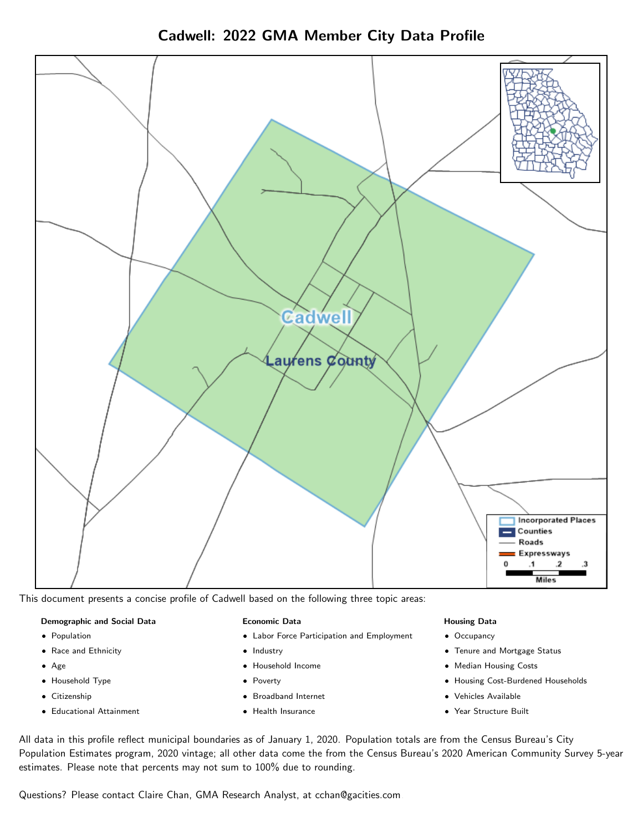Cadwell: 2022 GMA Member City Data Profile



This document presents a concise profile of Cadwell based on the following three topic areas:

## Demographic and Social Data

- **•** Population
- Race and Ethnicity
- Age
- Household Type
- **Citizenship**
- Educational Attainment

## Economic Data

- Labor Force Participation and Employment
- Industry
- Household Income
- Poverty
- Broadband Internet
- Health Insurance

## Housing Data

- Occupancy
- Tenure and Mortgage Status
- Median Housing Costs
- Housing Cost-Burdened Households
- Vehicles Available
- Year Structure Built

All data in this profile reflect municipal boundaries as of January 1, 2020. Population totals are from the Census Bureau's City Population Estimates program, 2020 vintage; all other data come the from the Census Bureau's 2020 American Community Survey 5-year estimates. Please note that percents may not sum to 100% due to rounding.

Questions? Please contact Claire Chan, GMA Research Analyst, at [cchan@gacities.com.](mailto:cchan@gacities.com)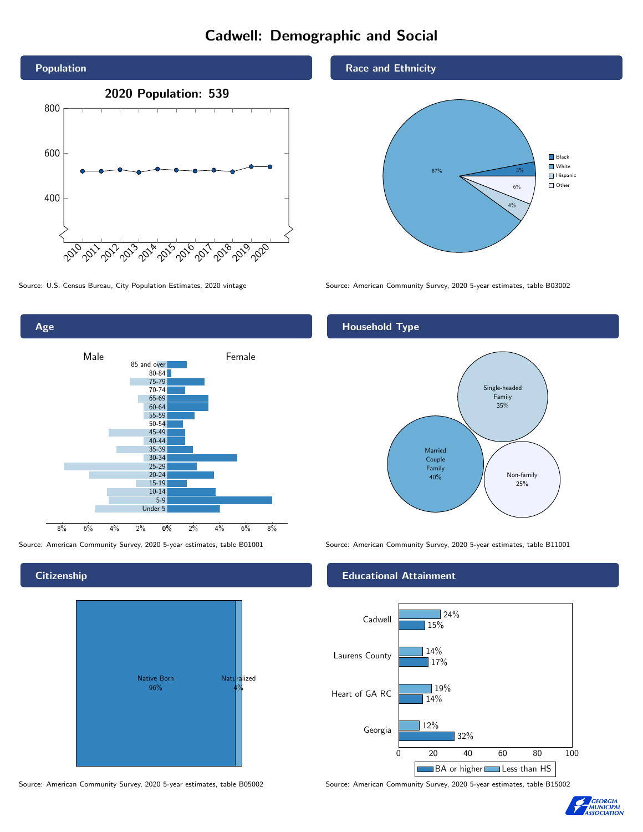# Cadwell: Demographic and Social





**Citizenship** 

Age



#### Source: American Community Survey, 2020 5-year estimates, table B05002 Source: American Community Survey, 2020 5-year estimates, table B15002

Race and Ethnicity



Source: U.S. Census Bureau, City Population Estimates, 2020 vintage Source: American Community Survey, 2020 5-year estimates, table B03002

## Household Type



Source: American Community Survey, 2020 5-year estimates, table B01001 Source: American Community Survey, 2020 5-year estimates, table B11001

## Educational Attainment



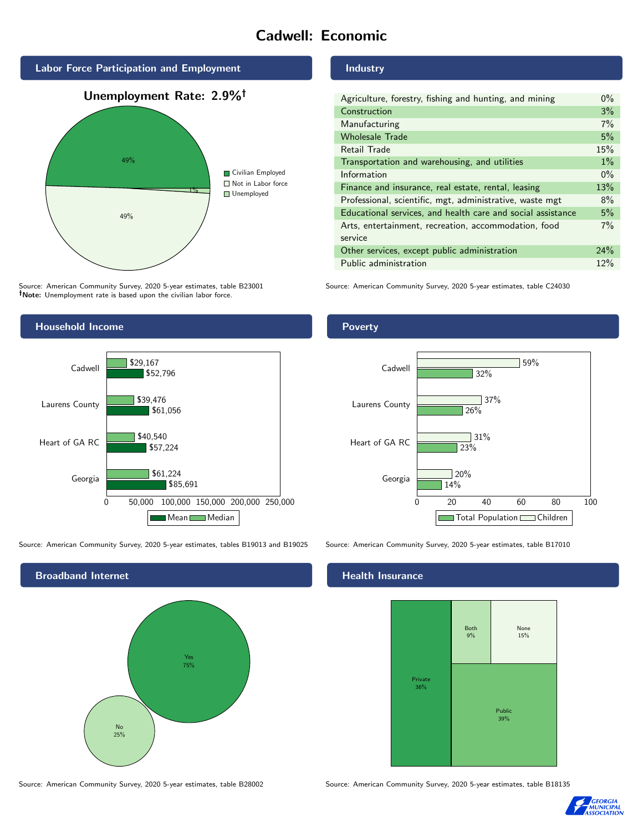# Cadwell: Economic



Source: American Community Survey, 2020 5-year estimates, table B23001 Note: Unemployment rate is based upon the civilian labor force.



| Agriculture, forestry, fishing and hunting, and mining      | $0\%$ |
|-------------------------------------------------------------|-------|
| Construction                                                | 3%    |
| Manufacturing                                               | 7%    |
| <b>Wholesale Trade</b>                                      | 5%    |
| Retail Trade                                                | 15%   |
| Transportation and warehousing, and utilities               | $1\%$ |
| Information                                                 | $0\%$ |
| Finance and insurance, real estate, rental, leasing         | 13%   |
| Professional, scientific, mgt, administrative, waste mgt    | 8%    |
| Educational services, and health care and social assistance | 5%    |
| Arts, entertainment, recreation, accommodation, food        | 7%    |
| service                                                     |       |
| Other services, except public administration                | 24%   |
| Public administration                                       | 12%   |

Source: American Community Survey, 2020 5-year estimates, table C24030



Source: American Community Survey, 2020 5-year estimates, tables B19013 and B19025 Source: American Community Survey, 2020 5-year estimates, table B17010



Source: American Community Survey, 2020 5-year estimates, table B28002 Source: American Community Survey, 2020 5-year estimates, table B18135

Poverty



## Health Insurance